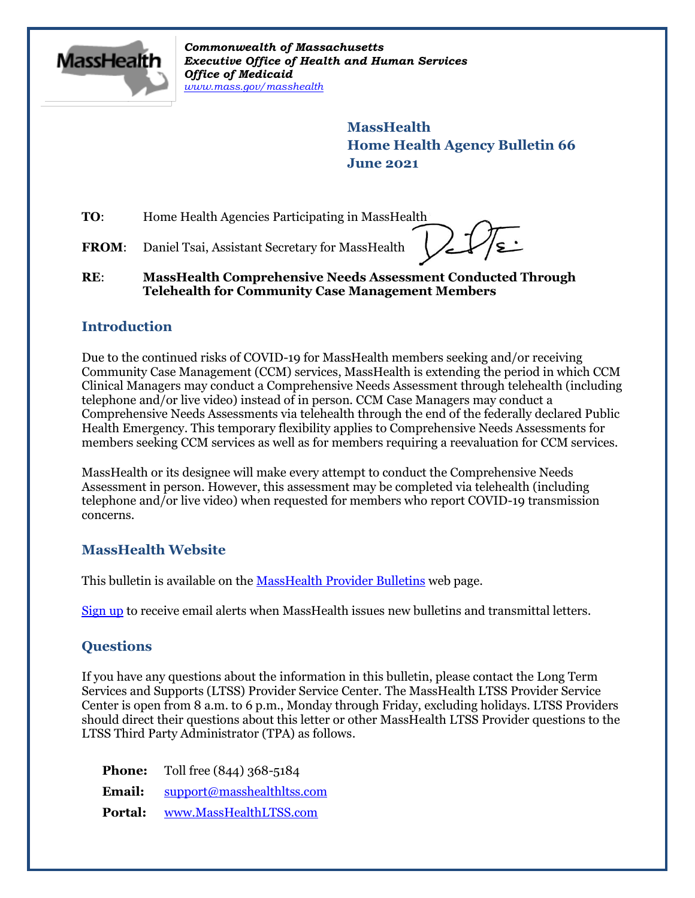

*Commonwealth of Massachusetts Executive Office of Health and Human Services Office of Medicaid [www.mass.gov/masshealth](http://www.mass.gov/masshealth)*

> **MassHealth Home Health Agency Bulletin 66 June 2021**

**TO:** Home Health Agencies Participating in MassHealth

FROM: Daniel Tsai, Assistant Secretary for MassHealth

## **RE**: **MassHealth Comprehensive Needs Assessment Conducted Through Telehealth for Community Case Management Members**

## **Introduction**

Due to the continued risks of COVID-19 for MassHealth members seeking and/or receiving Community Case Management (CCM) services, MassHealth is extending the period in which CCM Clinical Managers may conduct a Comprehensive Needs Assessment through telehealth (including telephone and/or live video) instead of in person. CCM Case Managers may conduct a Comprehensive Needs Assessments via telehealth through the end of the federally declared Public Health Emergency. This temporary flexibility applies to Comprehensive Needs Assessments for members seeking CCM services as well as for members requiring a reevaluation for CCM services.

MassHealth or its designee will make every attempt to conduct the Comprehensive Needs Assessment in person. However, this assessment may be completed via telehealth (including telephone and/or live video) when requested for members who report COVID-19 transmission concerns.

## **MassHealth Website**

This bulletin is available on th[e MassHealth Provider Bulletins](http://www.mass.gov/masshealth-provider-bulletins) web page.

[Sign up](https://www.mass.gov/forms/email-notifications-for-masshealth-provider-bulletins-and-transmittal-letters) to receive email alerts when MassHealth issues new bulletins and transmittal letters.

## **Questions**

If you have any questions about the information in this bulletin, please contact the Long Term Services and Supports (LTSS) Provider Service Center. The MassHealth LTSS Provider Service Center is open from 8 a.m. to 6 p.m., Monday through Friday, excluding holidays. LTSS Providers should direct their questions about this letter or other MassHealth LTSS Provider questions to the LTSS Third Party Administrator (TPA) as follows.

**Phone:** Toll free (844) 368-5184 **Email:** [support@masshealthltss.com](mailto:support@masshealthltss.com)

**Portal:** [www.MassHealthLTSS.com](http://www.masshealthltss.com/)